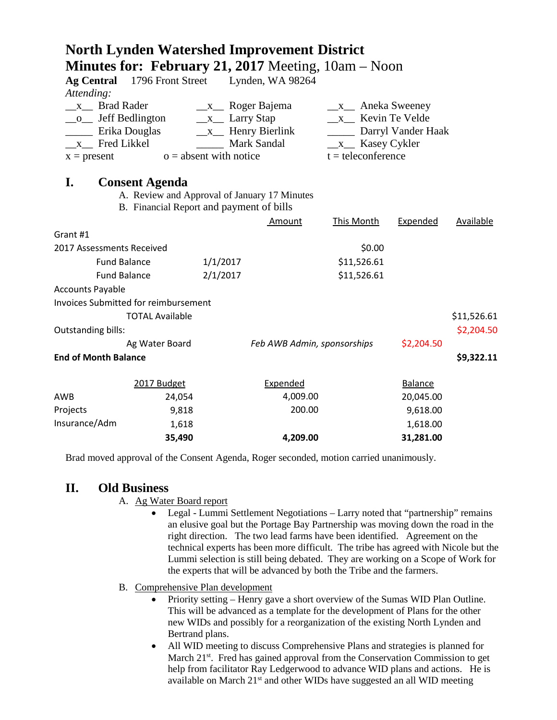|                                                     | <b>Minutes for: February 21, 2017</b> Meeting, $10am - Noon$ |                             |                             |                                                             |                |                  |
|-----------------------------------------------------|--------------------------------------------------------------|-----------------------------|-----------------------------|-------------------------------------------------------------|----------------|------------------|
| <b>Ag Central</b>                                   | 1796 Front Street Lynden, WA 98264                           |                             |                             |                                                             |                |                  |
| Attending:                                          |                                                              |                             |                             |                                                             |                |                  |
| x Brad Rader<br>$\frac{\mathbf{x}}{2}$ Roger Bajema |                                                              |                             |                             | $x_{\text{max}}$ Aneka Sweeney                              |                |                  |
| _o_ Jeff Bedlington                                 |                                                              | $\_\ x_\_$ Larry Stap       |                             | $x$ Kevin Te Velde                                          |                |                  |
| Erika Douglas                                       |                                                              | $\_\text{x}$ Henry Bierlink |                             | Darryl Vander Haak                                          |                |                  |
| $x$ Fred Likkel<br>$o =$ absent with notice         |                                                              |                             | Mark Sandal                 | $\frac{\mathbf{x}}{2}$ Kasey Cykler<br>$t =$ teleconference |                |                  |
| $x = present$                                       |                                                              |                             |                             |                                                             |                |                  |
| I.                                                  | <b>Consent Agenda</b>                                        |                             |                             |                                                             |                |                  |
|                                                     | A. Review and Approval of January 17 Minutes                 |                             |                             |                                                             |                |                  |
|                                                     | B. Financial Report and payment of bills                     |                             |                             |                                                             |                |                  |
|                                                     |                                                              |                             | Amount                      | <b>This Month</b>                                           | Expended       | <b>Available</b> |
| Grant #1                                            |                                                              |                             |                             |                                                             |                |                  |
| 2017 Assessments Received                           |                                                              |                             |                             | \$0.00                                                      |                |                  |
| <b>Fund Balance</b>                                 |                                                              | 1/1/2017                    |                             | \$11,526.61                                                 |                |                  |
| <b>Fund Balance</b>                                 |                                                              | 2/1/2017                    |                             | \$11,526.61                                                 |                |                  |
| <b>Accounts Payable</b>                             |                                                              |                             |                             |                                                             |                |                  |
|                                                     | <b>Invoices Submitted for reimbursement</b>                  |                             |                             |                                                             |                |                  |
|                                                     | <b>TOTAL Available</b>                                       |                             |                             |                                                             |                | \$11,526.61      |
| Outstanding bills:                                  |                                                              |                             |                             |                                                             |                | \$2,204.50       |
|                                                     | Ag Water Board                                               |                             | Feb AWB Admin, sponsorships |                                                             | \$2,204.50     |                  |
| <b>End of Month Balance</b>                         |                                                              |                             |                             |                                                             |                | \$9,322.11       |
|                                                     | 2017 Budget                                                  |                             | Expended                    |                                                             | <b>Balance</b> |                  |
| AWB                                                 | 24,054                                                       |                             | 4,009.00                    |                                                             | 20,045.00      |                  |
| Projects                                            | 9,818                                                        |                             | 200.00                      |                                                             | 9,618.00       |                  |
| Insurance/Adm                                       | 1,618                                                        |                             |                             |                                                             | 1,618.00       |                  |
|                                                     | 35,490                                                       |                             | 4,209.00                    |                                                             | 31,281.00      |                  |

**North Lynden Watershed Improvement District**

Brad moved approval of the Consent Agenda, Roger seconded, motion carried unanimously.

## **II. Old Business**

- A. Ag Water Board report
	- Legal Lummi Settlement Negotiations Larry noted that "partnership" remains an elusive goal but the Portage Bay Partnership was moving down the road in the right direction. The two lead farms have been identified. Agreement on the technical experts has been more difficult. The tribe has agreed with Nicole but the Lummi selection is still being debated. They are working on a Scope of Work for the experts that will be advanced by both the Tribe and the farmers.
- B. Comprehensive Plan development
	- Priority setting Henry gave a short overview of the Sumas WID Plan Outline. This will be advanced as a template for the development of Plans for the other new WIDs and possibly for a reorganization of the existing North Lynden and Bertrand plans.
	- All WID meeting to discuss Comprehensive Plans and strategies is planned for March 21<sup>st</sup>. Fred has gained approval from the Conservation Commission to get help from facilitator Ray Ledgerwood to advance WID plans and actions. He is available on March 21st and other WIDs have suggested an all WID meeting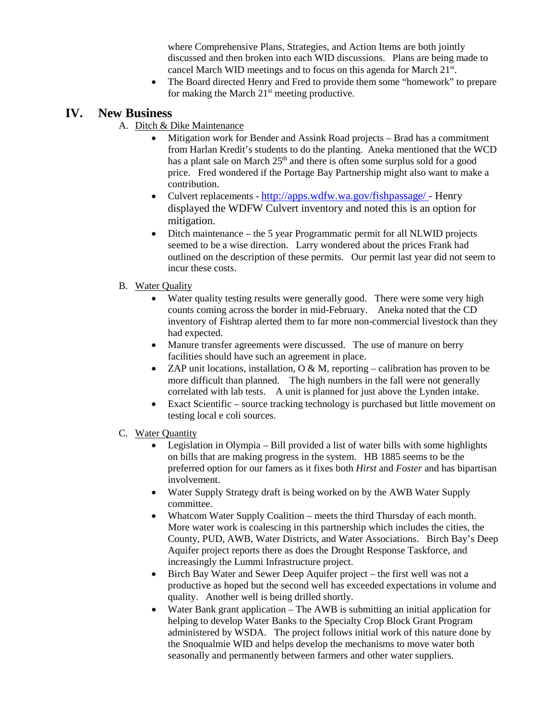where Comprehensive Plans, Strategies, and Action Items are both jointly discussed and then broken into each WID discussions. Plans are being made to cancel March WID meetings and to focus on this agenda for March 21<sup>st</sup>.

• The Board directed Henry and Fred to provide them some "homework" to prepare for making the March  $21<sup>st</sup>$  meeting productive.

## **IV. New Business**

- A. Ditch & Dike Maintenance
	- Mitigation work for Bender and Assink Road projects Brad has a commitment from Harlan Kredit's students to do the planting. Aneka mentioned that the WCD has a plant sale on March  $25<sup>th</sup>$  and there is often some surplus sold for a good price. Fred wondered if the Portage Bay Partnership might also want to make a contribution.
	- Culvert replacements <http://apps.wdfw.wa.gov/fishpassage/> Henry displayed the WDFW Culvert inventory and noted this is an option for mitigation.
	- Ditch maintenance the 5 year Programmatic permit for all NLWID projects seemed to be a wise direction. Larry wondered about the prices Frank had outlined on the description of these permits. Our permit last year did not seem to incur these costs.
- B. Water Quality
	- Water quality testing results were generally good. There were some very high counts coming across the border in mid-February. Aneka noted that the CD inventory of Fishtrap alerted them to far more non-commercial livestock than they had expected.
	- Manure transfer agreements were discussed. The use of manure on berry facilities should have such an agreement in place.
	- ZAP unit locations, installation,  $O & M$ , reporting calibration has proven to be more difficult than planned. The high numbers in the fall were not generally correlated with lab tests. A unit is planned for just above the Lynden intake.
	- Exact Scientific source tracking technology is purchased but little movement on testing local e coli sources.
- C. Water Quantity
	- Legislation in Olympia Bill provided a list of water bills with some highlights on bills that are making progress in the system. HB 1885 seems to be the preferred option for our famers as it fixes both *Hirst* and *Foster* and has bipartisan involvement.
	- Water Supply Strategy draft is being worked on by the AWB Water Supply committee.
	- Whatcom Water Supply Coalition meets the third Thursday of each month. More water work is coalescing in this partnership which includes the cities, the County, PUD, AWB, Water Districts, and Water Associations. Birch Bay's Deep Aquifer project reports there as does the Drought Response Taskforce, and increasingly the Lummi Infrastructure project.
	- Birch Bay Water and Sewer Deep Aquifer project the first well was not a productive as hoped but the second well has exceeded expectations in volume and quality. Another well is being drilled shortly.
	- Water Bank grant application The AWB is submitting an initial application for helping to develop Water Banks to the Specialty Crop Block Grant Program administered by WSDA. The project follows initial work of this nature done by the Snoqualmie WID and helps develop the mechanisms to move water both seasonally and permanently between farmers and other water suppliers.